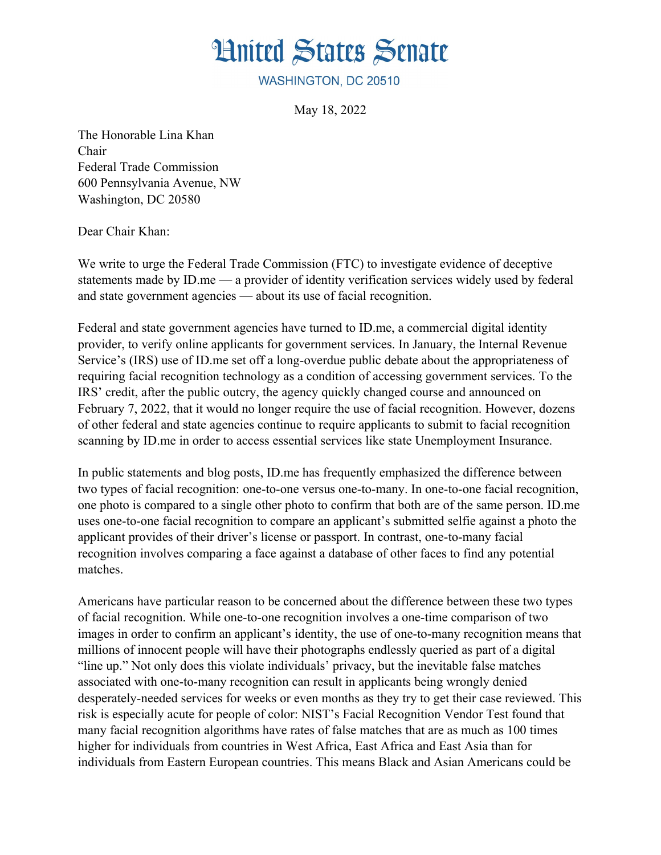

WASHINGTON, DC 20510

May 18, 2022

The Honorable Lina Khan Chair Federal Trade Commission 600 Pennsylvania Avenue, NW Washington, DC 20580

Dear Chair Khan:

We write to urge the Federal Trade Commission (FTC) to investigate evidence of deceptive statements made by ID.me — a provider of identity verification services widely used by federal and state government agencies — about its use of facial recognition.

Federal and state government agencies have turned to ID.me, a commercial digital identity provider, to verify online applicants for government services. In January, the Internal Revenue Service's (IRS) use of ID.me set off a long-overdue public debate about the appropriateness of requiring facial recognition technology as a condition of accessing government services. To the IRS' credit, after the public outcry, the agency quickly changed course and announced on February 7, 2022, that it would no longer require the use of facial recognition. However, dozens of other federal and state agencies continue to require applicants to submit to facial recognition scanning by ID.me in order to access essential services like state Unemployment Insurance.

In public statements and blog posts, ID.me has frequently emphasized the difference between two types of facial recognition: one-to-one versus one-to-many. In one-to-one facial recognition, one photo is compared to a single other photo to confirm that both are of the same person. ID.me uses one-to-one facial recognition to compare an applicant's submitted selfie against a photo the applicant provides of their driver's license or passport. In contrast, one-to-many facial recognition involves comparing a face against a database of other faces to find any potential matches.

Americans have particular reason to be concerned about the difference between these two types of facial recognition. While one-to-one recognition involves a one-time comparison of two images in order to confirm an applicant's identity, the use of one-to-many recognition means that millions of innocent people will have their photographs endlessly queried as part of a digital "line up." Not only does this violate individuals' privacy, but the inevitable false matches associated with one-to-many recognition can result in applicants being wrongly denied desperately-needed services for weeks or even months as they try to get their case reviewed. This risk is especially acute for people of color: NIST's Facial Recognition Vendor Test found that many facial recognition algorithms have rates of false matches that are as much as 100 times higher for individuals from countries in West Africa, East Africa and East Asia than for individuals from Eastern European countries. This means Black and Asian Americans could be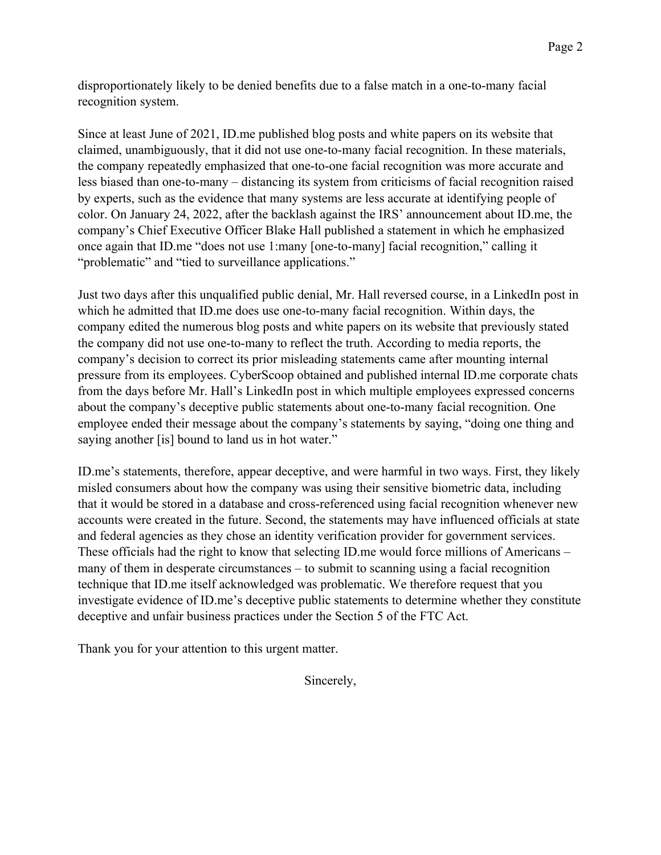disproportionately likely to be denied benefits due to a false match in a one-to-many facial recognition system.

Since at least June of 2021, ID.me published blog posts and white papers on its website that claimed, unambiguously, that it did not use one-to-many facial recognition. In these materials, the company repeatedly emphasized that one-to-one facial recognition was more accurate and less biased than one-to-many – distancing its system from criticisms of facial recognition raised by experts, such as the evidence that many systems are less accurate at identifying people of color. On January 24, 2022, after the backlash against the IRS' announcement about ID.me, the company's Chief Executive Officer Blake Hall published a statement in which he emphasized once again that ID.me "does not use 1:many [one-to-many] facial recognition," calling it "problematic" and "tied to surveillance applications."

Just two days after this unqualified public denial, Mr. Hall reversed course, in a LinkedIn post in which he admitted that ID.me does use one-to-many facial recognition. Within days, the company edited the numerous blog posts and white papers on its website that previously stated the company did not use one-to-many to reflect the truth. According to media reports, the company's decision to correct its prior misleading statements came after mounting internal pressure from its employees. CyberScoop obtained and published internal ID.me corporate chats from the days before Mr. Hall's LinkedIn post in which multiple employees expressed concerns about the company's deceptive public statements about one-to-many facial recognition. One employee ended their message about the company's statements by saying, "doing one thing and saying another [is] bound to land us in hot water."

ID.me's statements, therefore, appear deceptive, and were harmful in two ways. First, they likely misled consumers about how the company was using their sensitive biometric data, including that it would be stored in a database and cross-referenced using facial recognition whenever new accounts were created in the future. Second, the statements may have influenced officials at state and federal agencies as they chose an identity verification provider for government services. These officials had the right to know that selecting ID.me would force millions of Americans – many of them in desperate circumstances – to submit to scanning using a facial recognition technique that ID.me itself acknowledged was problematic. We therefore request that you investigate evidence of ID.me's deceptive public statements to determine whether they constitute deceptive and unfair business practices under the Section 5 of the FTC Act.

Thank you for your attention to this urgent matter.

Sincerely,